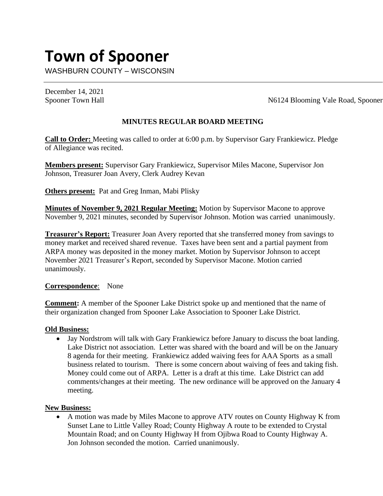# **Town of Spooner**

WASHBURN COUNTY – WISCONSIN

December 14, 2021

Spooner Town Hall N6124 Blooming Vale Road, Spooner

## **MINUTES REGULAR BOARD MEETING**

**Call to Order:** Meeting was called to order at 6:00 p.m. by Supervisor Gary Frankiewicz. Pledge of Allegiance was recited.

**Members present:** Supervisor Gary Frankiewicz, Supervisor Miles Macone, Supervisor Jon Johnson, Treasurer Joan Avery, Clerk Audrey Kevan

**Others present:** Pat and Greg Inman, Mabi Plisky

**Minutes of November 9, 2021 Regular Meeting:** Motion by Supervisor Macone to approve November 9, 2021 minutes, seconded by Supervisor Johnson. Motion was carried unanimously.

**Treasurer's Report:** Treasurer Joan Avery reported that she transferred money from savings to money market and received shared revenue. Taxes have been sent and a partial payment from ARPA money was deposited in the money market. Motion by Supervisor Johnson to accept November 2021 Treasurer's Report, seconded by Supervisor Macone. Motion carried unanimously.

### **Correspondence**: None

**Comment:** A member of the Spooner Lake District spoke up and mentioned that the name of their organization changed from Spooner Lake Association to Spooner Lake District.

#### **Old Business:**

• Jay Nordstrom will talk with Gary Frankiewicz before January to discuss the boat landing. Lake District not association. Letter was shared with the board and will be on the January 8 agenda for their meeting. Frankiewicz added waiving fees for AAA Sports as a small business related to tourism. There is some concern about waiving of fees and taking fish. Money could come out of ARPA. Letter is a draft at this time. Lake District can add comments/changes at their meeting. The new ordinance will be approved on the January 4 meeting.

#### **New Business:**

• A motion was made by Miles Macone to approve ATV routes on County Highway K from Sunset Lane to Little Valley Road; County Highway A route to be extended to Crystal Mountain Road; and on County Highway H from Ojibwa Road to County Highway A. Jon Johnson seconded the motion. Carried unanimously.